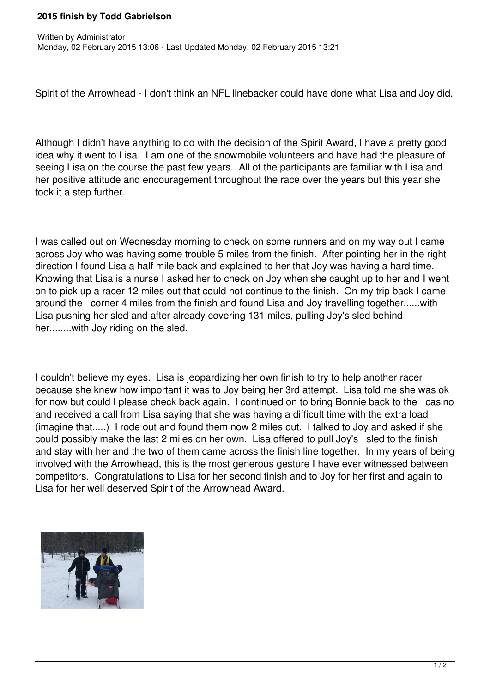## **2015 finish by Todd Gabrielson**

Spirit of the Arrowhead - I don't think an NFL linebacker could have done what Lisa and Joy did.

Although I didn't have anything to do with the decision of the Spirit Award, I have a pretty good idea why it went to Lisa. I am one of the snowmobile volunteers and have had the pleasure of seeing Lisa on the course the past few years. All of the participants are familiar with Lisa and her positive attitude and encouragement throughout the race over the years but this year she took it a step further.

I was called out on Wednesday morning to check on some runners and on my way out I came across Joy who was having some trouble 5 miles from the finish. After pointing her in the right direction I found Lisa a half mile back and explained to her that Joy was having a hard time. Knowing that Lisa is a nurse I asked her to check on Joy when she caught up to her and I went on to pick up a racer 12 miles out that could not continue to the finish. On my trip back I came around the corner 4 miles from the finish and found Lisa and Joy travelling together......with Lisa pushing her sled and after already covering 131 miles, pulling Joy's sled behind her........with Joy riding on the sled.

I couldn't believe my eyes. Lisa is jeopardizing her own finish to try to help another racer because she knew how important it was to Joy being her 3rd attempt. Lisa told me she was ok for now but could I please check back again. I continued on to bring Bonnie back to the casino and received a call from Lisa saying that she was having a difficult time with the extra load (imagine that.....) I rode out and found them now 2 miles out. I talked to Joy and asked if she could possibly make the last 2 miles on her own. Lisa offered to pull Joy's sled to the finish and stay with her and the two of them came across the finish line together. In my years of being involved with the Arrowhead, this is the most generous gesture I have ever witnessed between competitors. Congratulations to Lisa for her second finish and to Joy for her first and again to Lisa for her well deserved Spirit of the Arrowhead Award.